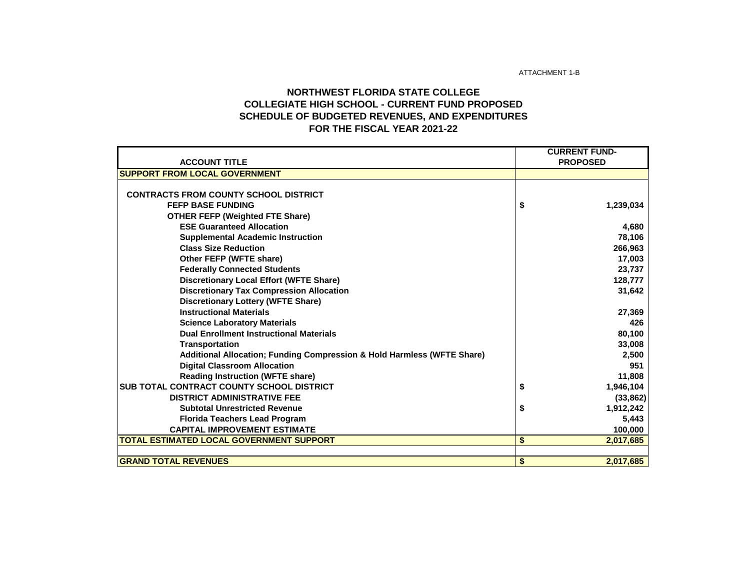ATTACHMENT 1-B

## **NORTHWEST FLORIDA STATE COLLEGE COLLEGIATE HIGH SCHOOL - CURRENT FUND PROPOSED SCHEDULE OF BUDGETED REVENUES, AND EXPENDITURES FOR THE FISCAL YEAR 2021-22**

| <b>CURRENT FUND-</b>                                                    |                 |           |  |  |
|-------------------------------------------------------------------------|-----------------|-----------|--|--|
| <b>ACCOUNT TITLE</b>                                                    | <b>PROPOSED</b> |           |  |  |
| <b>SUPPORT FROM LOCAL GOVERNMENT</b>                                    |                 |           |  |  |
|                                                                         |                 |           |  |  |
| <b>CONTRACTS FROM COUNTY SCHOOL DISTRICT</b>                            |                 |           |  |  |
| <b>FEFP BASE FUNDING</b>                                                | \$              | 1,239,034 |  |  |
| <b>OTHER FEFP (Weighted FTE Share)</b>                                  |                 |           |  |  |
| <b>ESE Guaranteed Allocation</b>                                        |                 | 4,680     |  |  |
| <b>Supplemental Academic Instruction</b>                                |                 | 78,106    |  |  |
| <b>Class Size Reduction</b>                                             |                 | 266,963   |  |  |
| Other FEFP (WFTE share)                                                 |                 | 17,003    |  |  |
| <b>Federally Connected Students</b>                                     |                 | 23,737    |  |  |
| <b>Discretionary Local Effort (WFTE Share)</b>                          |                 | 128,777   |  |  |
| <b>Discretionary Tax Compression Allocation</b>                         |                 | 31,642    |  |  |
| <b>Discretionary Lottery (WFTE Share)</b>                               |                 |           |  |  |
| <b>Instructional Materials</b>                                          |                 | 27,369    |  |  |
| <b>Science Laboratory Materials</b>                                     |                 | 426       |  |  |
| <b>Dual Enrollment Instructional Materials</b>                          |                 | 80,100    |  |  |
| <b>Transportation</b>                                                   |                 | 33,008    |  |  |
| Additional Allocation; Funding Compression & Hold Harmless (WFTE Share) |                 | 2,500     |  |  |
| <b>Digital Classroom Allocation</b>                                     |                 | 951       |  |  |
| <b>Reading Instruction (WFTE share)</b>                                 |                 | 11,808    |  |  |
| <b>SUB TOTAL CONTRACT COUNTY SCHOOL DISTRICT</b>                        | \$              | 1,946,104 |  |  |
| <b>DISTRICT ADMINISTRATIVE FEE</b>                                      |                 | (33, 862) |  |  |
| <b>Subtotal Unrestricted Revenue</b>                                    | \$              | 1,912,242 |  |  |
| <b>Florida Teachers Lead Program</b>                                    |                 | 5,443     |  |  |
| <b>CAPITAL IMPROVEMENT ESTIMATE</b>                                     |                 | 100,000   |  |  |
| TOTAL ESTIMATED LOCAL GOVERNMENT SUPPORT                                | \$              | 2,017,685 |  |  |
|                                                                         |                 |           |  |  |
| <b>GRAND TOTAL REVENUES</b>                                             | \$              | 2,017,685 |  |  |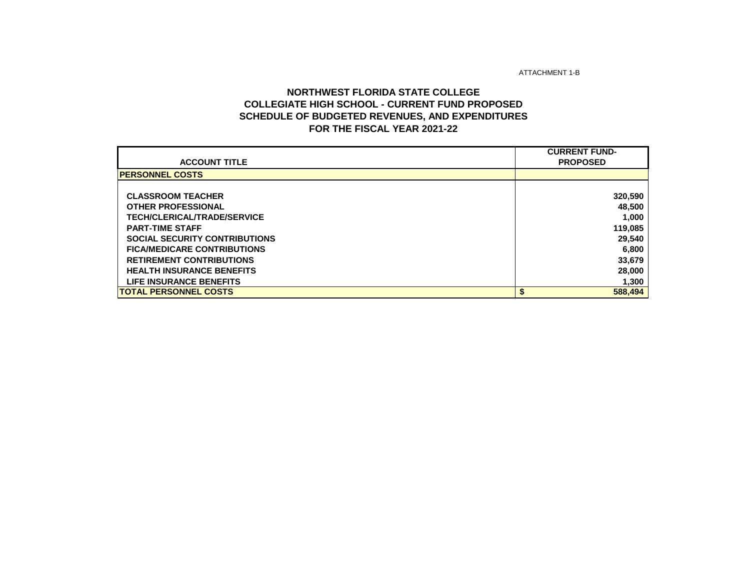ATTACHMENT 1-B

## **NORTHWEST FLORIDA STATE COLLEGE COLLEGIATE HIGH SCHOOL - CURRENT FUND PROPOSED SCHEDULE OF BUDGETED REVENUES, AND EXPENDITURES FOR THE FISCAL YEAR 2021-22**

|                                      | <b>CURRENT FUND-</b> |
|--------------------------------------|----------------------|
| <b>ACCOUNT TITLE</b>                 | <b>PROPOSED</b>      |
| <b>PERSONNEL COSTS</b>               |                      |
|                                      |                      |
| <b>CLASSROOM TEACHER</b>             | 320,590              |
| <b>OTHER PROFESSIONAL</b>            | 48,500               |
| <b>TECH/CLERICAL/TRADE/SERVICE</b>   | 1,000                |
| <b>PART-TIME STAFF</b>               | 119,085              |
| <b>SOCIAL SECURITY CONTRIBUTIONS</b> | 29,540               |
| <b>FICA/MEDICARE CONTRIBUTIONS</b>   | 6,800                |
| <b>RETIREMENT CONTRIBUTIONS</b>      | 33,679               |
| <b>HEALTH INSURANCE BENEFITS</b>     | 28,000               |
| <b>LIFE INSURANCE BENEFITS</b>       | 1,300                |
| <b>ITOTAL PERSONNEL COSTS</b>        | \$<br>588,494        |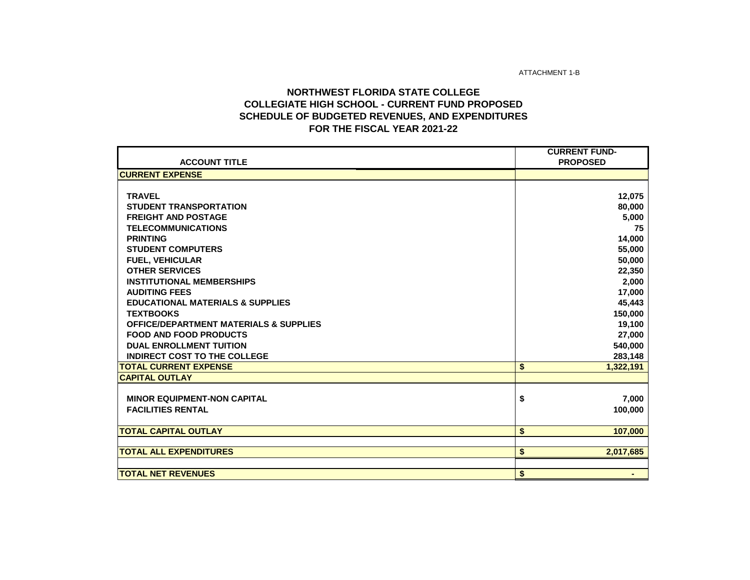ATTACHMENT 1-B

## **NORTHWEST FLORIDA STATE COLLEGE COLLEGIATE HIGH SCHOOL - CURRENT FUND PROPOSED SCHEDULE OF BUDGETED REVENUES, AND EXPENDITURES FOR THE FISCAL YEAR 2021-22**

|                                                   | <b>CURRENT FUND-</b> |
|---------------------------------------------------|----------------------|
| <b>ACCOUNT TITLE</b>                              | <b>PROPOSED</b>      |
| <b>CURRENT EXPENSE</b>                            |                      |
|                                                   |                      |
| <b>TRAVEL</b>                                     | 12,075               |
| <b>STUDENT TRANSPORTATION</b>                     | 80,000               |
| <b>FREIGHT AND POSTAGE</b>                        | 5,000                |
| <b>TELECOMMUNICATIONS</b>                         | 75                   |
| <b>PRINTING</b>                                   | 14,000               |
| <b>STUDENT COMPUTERS</b>                          | 55,000               |
| <b>FUEL, VEHICULAR</b>                            | 50,000               |
| <b>OTHER SERVICES</b>                             | 22,350               |
| <b>INSTITUTIONAL MEMBERSHIPS</b>                  | 2,000                |
| <b>AUDITING FEES</b>                              | 17,000               |
| <b>EDUCATIONAL MATERIALS &amp; SUPPLIES</b>       | 45,443               |
| <b>TEXTBOOKS</b>                                  | 150,000              |
| <b>OFFICE/DEPARTMENT MATERIALS &amp; SUPPLIES</b> | 19,100               |
| <b>FOOD AND FOOD PRODUCTS</b>                     | 27,000               |
| <b>DUAL ENROLLMENT TUITION</b>                    | 540,000              |
| <b>INDIRECT COST TO THE COLLEGE</b>               | 283,148              |
| <b>TOTAL CURRENT EXPENSE</b>                      | \$<br>1,322,191      |
| <b>CAPITAL OUTLAY</b>                             |                      |
|                                                   |                      |
| <b>MINOR EQUIPMENT-NON CAPITAL</b>                | \$<br>7,000          |
| <b>FACILITIES RENTAL</b>                          | 100,000              |
|                                                   |                      |
| <b>TOTAL CAPITAL OUTLAY</b>                       | \$<br>107,000        |
|                                                   |                      |
| <b>TOTAL ALL EXPENDITURES</b>                     | \$<br>2,017,685      |
|                                                   |                      |
| <b>TOTAL NET REVENUES</b>                         | \$                   |